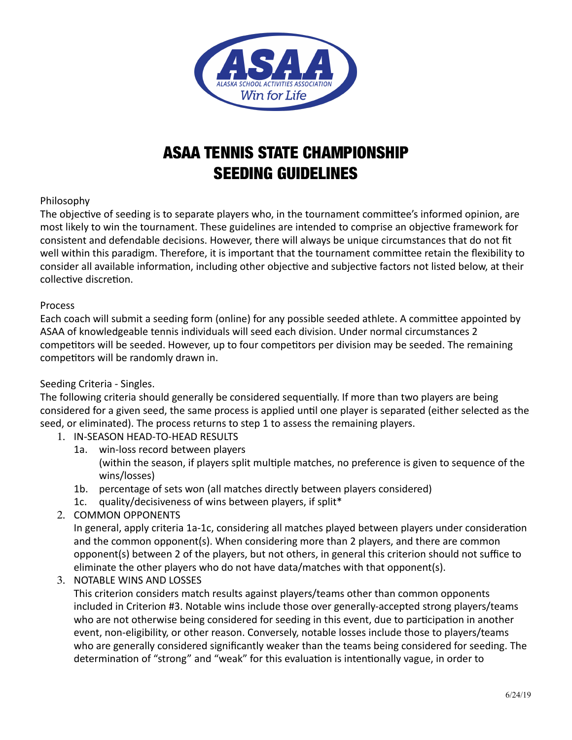

# ASAA TENNIS STATE CHAMPIONSHIP SEEDING GUIDELINES

# Philosophy

The objective of seeding is to separate players who, in the tournament committee's informed opinion, are most likely to win the tournament. These guidelines are intended to comprise an objective framework for consistent and defendable decisions. However, there will always be unique circumstances that do not fit well within this paradigm. Therefore, it is important that the tournament committee retain the flexibility to consider all available information, including other objective and subjective factors not listed below, at their collective discretion.

### **Process**

Each coach will submit a seeding form (online) for any possible seeded athlete. A committee appointed by ASAA of knowledgeable tennis individuals will seed each division. Under normal circumstances 2 competitors will be seeded. However, up to four competitors per division may be seeded. The remaining competitors will be randomly drawn in.

# Seeding Criteria - Singles.

The following criteria should generally be considered sequentially. If more than two players are being considered for a given seed, the same process is applied until one player is separated (either selected as the seed, or eliminated). The process returns to step 1 to assess the remaining players.

- 1. IN-SEASON HEAD-TO-HEAD RESULTS
	- 1a. win-loss record between players (within the season, if players split multiple matches, no preference is given to sequence of the wins/losses)
	- 1b. percentage of sets won (all matches directly between players considered)
	- 1c. quality/decisiveness of wins between players, if split\*
- 2. COMMON OPPONENTS

In general, apply criteria 1a-1c, considering all matches played between players under consideration and the common opponent(s). When considering more than 2 players, and there are common opponent(s) between 2 of the players, but not others, in general this criterion should not suffice to eliminate the other players who do not have data/matches with that opponent(s).

3. NOTABLE WINS AND LOSSES

This criterion considers match results against players/teams other than common opponents included in Criterion #3. Notable wins include those over generally-accepted strong players/teams who are not otherwise being considered for seeding in this event, due to participation in another event, non-eligibility, or other reason. Conversely, notable losses include those to players/teams who are generally considered significantly weaker than the teams being considered for seeding. The determination of "strong" and "weak" for this evaluation is intentionally vague, in order to